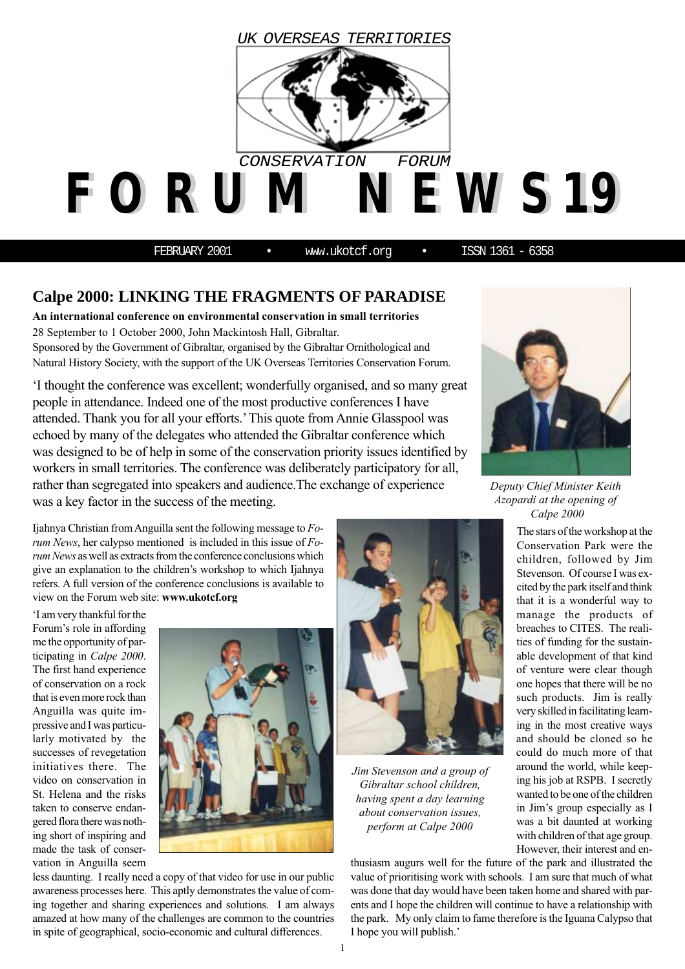

FEBRUARY 2001 • www.ukotcf.org • ISSN 1361 - 6358

## **Calpe 2000: LINKING THE FRAGMENTS OF PARADISE**

**An international conference on environmental conservation in small territories** 28 September to 1 October 2000, John Mackintosh Hall, Gibraltar. Sponsored by the Government of Gibraltar, organised by the Gibraltar Ornithological and Natural History Society, with the support of the UK Overseas Territories Conservation Forum.

'I thought the conference was excellent; wonderfully organised, and so many great people in attendance. Indeed one of the most productive conferences I have attended. Thank you for all your efforts.' This quote from Annie Glasspool was echoed by many of the delegates who attended the Gibraltar conference which was designed to be of help in some of the conservation priority issues identified by workers in small territories. The conference was deliberately participatory for all, rather than segregated into speakers and audience.The exchange of experience was a key factor in the success of the meeting.

Ijahnya Christian from Anguilla sent the following message to *Forum News*, her calypso mentioned is included in this issue of *Forum News* as well as extracts from the conference conclusions which give an explanation to the children's workshop to which Ijahnya refers. A full version of the conference conclusions is available to view on the Forum web site: **www.ukotcf.org**

'I am very thankful for the Forum's role in affording me the opportunity of participating in *Calpe 2000*. The first hand experience of conservation on a rock that is even more rock than Anguilla was quite impressive and I was particularly motivated by the successes of revegetation initiatives there. The video on conservation in St. Helena and the risks taken to conserve endangered flora there was nothing short of inspiring and made the task of conservation in Anguilla seem





*Jim Stevenson and a group of Gibraltar school children, having spent a day learning about conservation issues, perform at Calpe 2000*

*Deputy Chief Minister Keith Azopardi at the opening of Calpe 2000*

The stars of the workshop at the Conservation Park were the children, followed by Jim Stevenson. Of course I was excited by the park itself and think that it is a wonderful way to manage the products of breaches to CITES. The realities of funding for the sustainable development of that kind of venture were clear though one hopes that there will be no such products. Jim is really very skilled in facilitating learning in the most creative ways and should be cloned so he could do much more of that around the world, while keeping his job at RSPB. I secretly wanted to be one of the children in Jim's group especially as I was a bit daunted at working with children of that age group. However, their interest and en-

thusiasm augurs well for the future of the park and illustrated the value of prioritising work with schools. I am sure that much of what was done that day would have been taken home and shared with parents and I hope the children will continue to have a relationship with the park. My only claim to fame therefore is the Iguana Calypso that I hope you will publish.'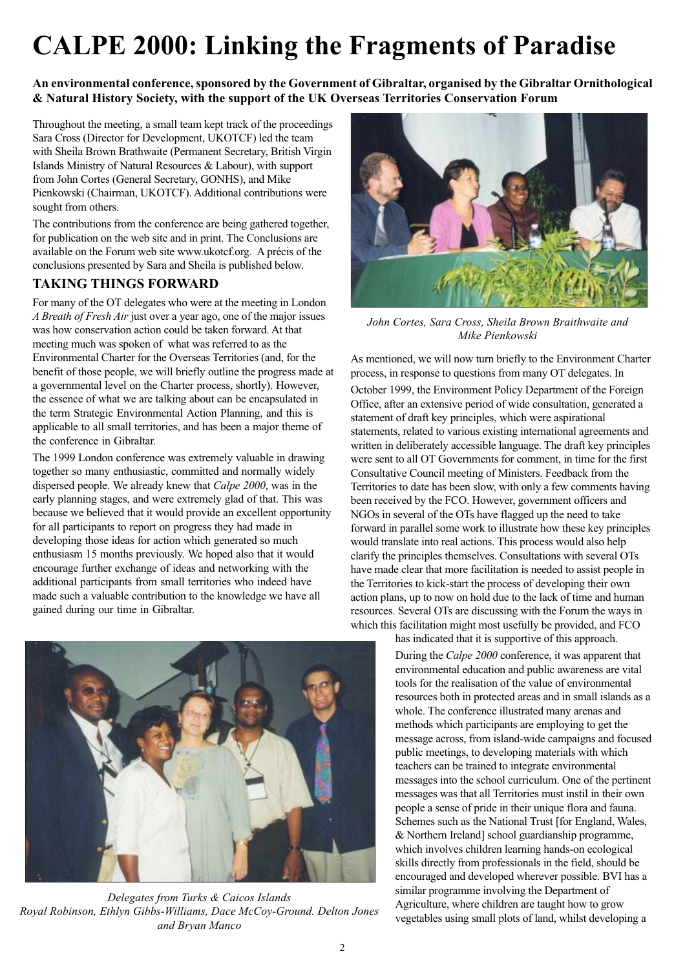# **CALPE 2000: Linking the Fragments of Paradise**

**An environmental conference, sponsored by the Government of Gibraltar, organised by the Gibraltar Ornithological & Natural History Society, with the support of the UK Overseas Territories Conservation Forum**

Throughout the meeting, a small team kept track of the proceedings Sara Cross (Director for Development, UKOTCF) led the team with Sheila Brown Brathwaite (Permanent Secretary, British Virgin Islands Ministry of Natural Resources & Labour), with support from John Cortes (General Secretary, GONHS), and Mike Pienkowski (Chairman, UKOTCF). Additional contributions were sought from others.

The contributions from the conference are being gathered together, for publication on the web site and in print. The Conclusions are available on the Forum web site www.ukotcf.org. A précis of the conclusions presented by Sara and Sheila is published below.

### **TAKING THINGS FORWARD**

For many of the OT delegates who were at the meeting in London *A Breath of Fresh Air* just over a year ago, one of the major issues was how conservation action could be taken forward. At that meeting much was spoken of what was referred to as the Environmental Charter for the Overseas Territories (and, for the benefit of those people, we will briefly outline the progress made at a governmental level on the Charter process, shortly). However, the essence of what we are talking about can be encapsulated in the term Strategic Environmental Action Planning, and this is applicable to all small territories, and has been a major theme of the conference in Gibraltar.

The 1999 London conference was extremely valuable in drawing together so many enthusiastic, committed and normally widely dispersed people. We already knew that *Calpe 2000*, was in the early planning stages, and were extremely glad of that. This was because we believed that it would provide an excellent opportunity for all participants to report on progress they had made in developing those ideas for action which generated so much enthusiasm 15 months previously. We hoped also that it would encourage further exchange of ideas and networking with the additional participants from small territories who indeed have made such a valuable contribution to the knowledge we have all gained during our time in Gibraltar.



*Delegates from Turks & Caicos Islands Royal Robinson, Ethlyn Gibbs-Williams, Dace McCoy-Ground. Delton Jones and Bryan Manco*



*John Cortes, Sara Cross, Sheila Brown Braithwaite and Mike Pienkowski*

As mentioned, we will now turn briefly to the Environment Charter process, in response to questions from many OT delegates. In October 1999, the Environment Policy Department of the Foreign Office, after an extensive period of wide consultation, generated a statement of draft key principles, which were aspirational statements, related to various existing international agreements and written in deliberately accessible language. The draft key principles were sent to all OT Governments for comment, in time for the first Consultative Council meeting of Ministers. Feedback from the Territories to date has been slow, with only a few comments having been received by the FCO. However, government officers and NGOs in several of the OTs have flagged up the need to take forward in parallel some work to illustrate how these key principles would translate into real actions. This process would also help clarify the principles themselves. Consultations with several OTs have made clear that more facilitation is needed to assist people in the Territories to kick-start the process of developing their own action plans, up to now on hold due to the lack of time and human resources. Several OTs are discussing with the Forum the ways in which this facilitation might most usefully be provided, and FCO has indicated that it is supportive of this approach.

During the *Calpe 2000* conference, it was apparent that environmental education and public awareness are vital tools for the realisation of the value of environmental resources both in protected areas and in small islands as a whole. The conference illustrated many arenas and methods which participants are employing to get the message across, from island-wide campaigns and focused public meetings, to developing materials with which teachers can be trained to integrate environmental messages into the school curriculum. One of the pertinent messages was that all Territories must instil in their own people a sense of pride in their unique flora and fauna. Schemes such as the National Trust [for England, Wales, & Northern Ireland] school guardianship programme, which involves children learning hands-on ecological skills directly from professionals in the field, should be encouraged and developed wherever possible. BVI has a similar programme involving the Department of Agriculture, where children are taught how to grow vegetables using small plots of land, whilst developing a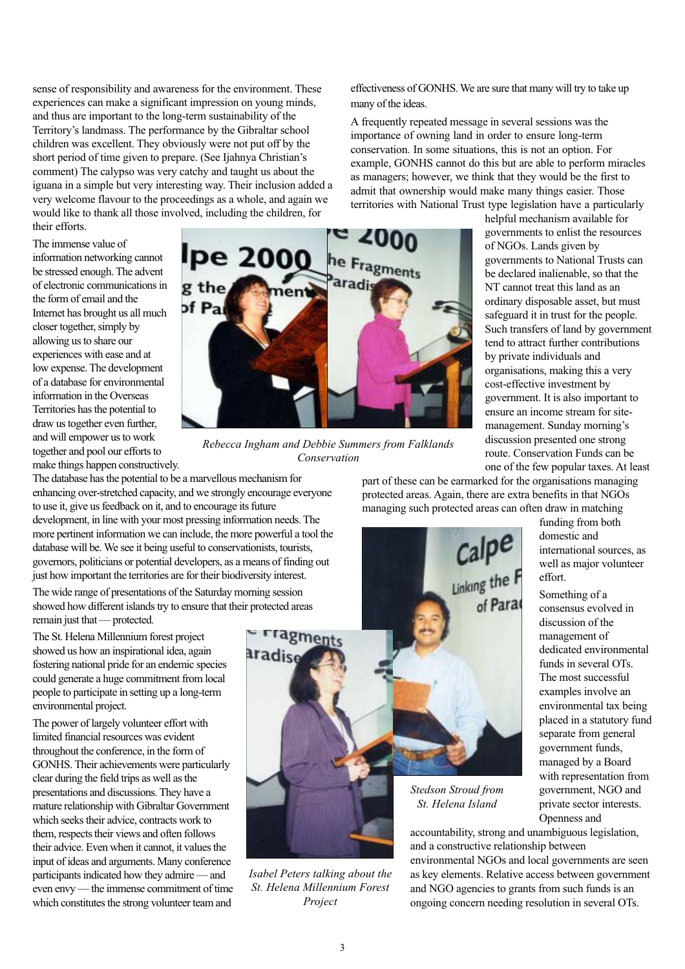sense of responsibility and awareness for the environment. These experiences can make a significant impression on young minds, and thus are important to the long-term sustainability of the Territory's landmass. The performance by the Gibraltar school children was excellent. They obviously were not put off by the short period of time given to prepare. (See Ijahnya Christian's comment) The calypso was very catchy and taught us about the iguana in a simple but very interesting way. Their inclusion added a very welcome flavour to the proceedings as a whole, and again we would like to thank all those involved, including the children, for their efforts.

The immense value of information networking cannot be stressed enough. The advent of electronic communications in the form of email and the Internet has brought us all much closer together, simply by allowing us to share our experiences with ease and at low expense. The development of a database for environmental information in the Overseas Territories has the potential to draw us together even further, and will empower us to work together and pool our efforts to make things happen constructively.



*Rebecca Ingham and Debbie Summers from Falklands Conservation*

The database has the potential to be a marvellous mechanism for enhancing over-stretched capacity, and we strongly encourage everyone to use it, give us feedback on it, and to encourage its future development, in line with your most pressing information needs. The more pertinent information we can include, the more powerful a tool the database will be. We see it being useful to conservationists, tourists, governors, politicians or potential developers, as a means of finding out just how important the territories are for their biodiversity interest.

The wide range of presentations of the Saturday morning session showed how different islands try to ensure that their protected areas remain just that — protected.

The St. Helena Millennium forest project showed us how an inspirational idea, again fostering national pride for an endemic species could generate a huge commitment from local people to participate in setting up a long-term environmental project.

The power of largely volunteer effort with limited financial resources was evident throughout the conference, in the form of GONHS. Their achievements were particularly clear during the field trips as well as the presentations and discussions. They have a mature relationship with Gibraltar Government which seeks their advice, contracts work to them, respects their views and often follows their advice. Even when it cannot, it values the input of ideas and arguments. Many conference participants indicated how they admire — and even envy — the immense commitment of time which constitutes the strong volunteer team and



*Isabel Peters talking about the St. Helena Millennium Forest Project*

effectiveness of GONHS. We are sure that many will try to take up many of the ideas.

A frequently repeated message in several sessions was the importance of owning land in order to ensure long-term conservation. In some situations, this is not an option. For example, GONHS cannot do this but are able to perform miracles as managers; however, we think that they would be the first to admit that ownership would make many things easier. Those territories with National Trust type legislation have a particularly

helpful mechanism available for governments to enlist the resources of NGOs. Lands given by governments to National Trusts can be declared inalienable, so that the NT cannot treat this land as an ordinary disposable asset, but must safeguard it in trust for the people. Such transfers of land by government tend to attract further contributions by private individuals and organisations, making this a very cost-effective investment by government. It is also important to ensure an income stream for sitemanagement. Sunday morning's discussion presented one strong route. Conservation Funds can be one of the few popular taxes. At least

> funding from both domestic and

Something of a consensus evolved in discussion of the management of

effort.

international sources, as well as major volunteer

dedicated environmental funds in several OTs.

private sector interests.

Openness and

part of these can be earmarked for the organisations managing protected areas. Again, there are extra benefits in that NGOs managing such protected areas can often draw in matching

> The most successful examples involve an environmental tax being placed in a statutory fund separate from general government funds, managed by a Board with representation from government, NGO and

accountability, strong and unambiguous legislation, and a constructive relationship between environmental NGOs and local governments are seen as key elements. Relative access between government

and NGO agencies to grants from such funds is an ongoing concern needing resolution in several OTs.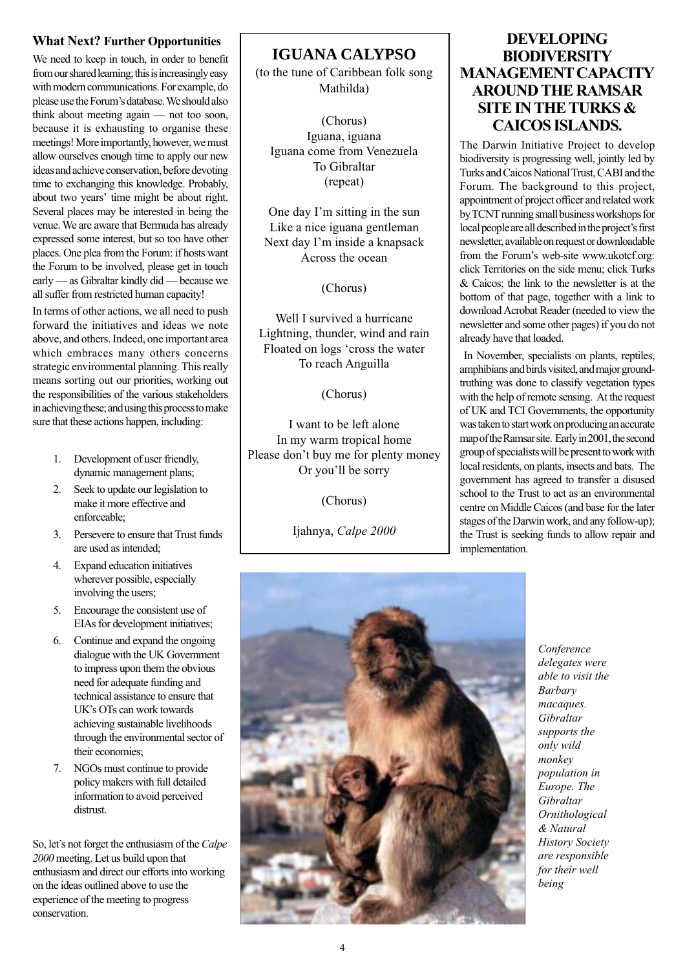#### **What Next? Further Opportunities**

We need to keep in touch, in order to benefit from our shared learning; this is increasingly easy with modern communications. For example, do please use the Forum's database. We should also think about meeting again — not too soon, because it is exhausting to organise these meetings! More importantly, however, we must allow ourselves enough time to apply our new ideas and achieve conservation, before devoting time to exchanging this knowledge. Probably, about two years' time might be about right. Several places may be interested in being the venue. We are aware that Bermuda has already expressed some interest, but so too have other places. One plea from the Forum: if hosts want the Forum to be involved, please get in touch early — as Gibraltar kindly did — because we all suffer from restricted human capacity!

In terms of other actions, we all need to push forward the initiatives and ideas we note above, and others. Indeed, one important area which embraces many others concerns strategic environmental planning. This really means sorting out our priorities, working out the responsibilities of the various stakeholders in achieving these; and using this process to make sure that these actions happen, including:

- 1. Development of user friendly, dynamic management plans;
- 2. Seek to update our legislation to make it more effective and enforceable;
- 3. Persevere to ensure that Trust funds are used as intended;
- 4. Expand education initiatives wherever possible, especially involving the users;
- 5. Encourage the consistent use of EIAs for development initiatives;
- 6. Continue and expand the ongoing dialogue with the UK Government to impress upon them the obvious need for adequate funding and technical assistance to ensure that UK's OTs can work towards achieving sustainable livelihoods through the environmental sector of their economies;
- 7. NGOs must continue to provide policy makers with full detailed information to avoid perceived distrust.

So, let's not forget the enthusiasm of the *Calpe 2000* meeting. Let us build upon that enthusiasm and direct our efforts into working on the ideas outlined above to use the experience of the meeting to progress conservation.

**IGUANA CALYPSO**

(to the tune of Caribbean folk song Mathilda)

(Chorus) Iguana, iguana Iguana come from Venezuela To Gibraltar (repeat)

One day I'm sitting in the sun Like a nice iguana gentleman Next day I'm inside a knapsack Across the ocean

(Chorus)

Well I survived a hurricane Lightning, thunder, wind and rain Floated on logs 'cross the water To reach Anguilla

(Chorus)

I want to be left alone In my warm tropical home Please don't buy me for plenty money Or you'll be sorry

(Chorus)

Ijahnya, *Calpe 2000*



The Darwin Initiative Project to develop biodiversity is progressing well, jointly led by Turks and Caicos National Trust, CABI and the Forum. The background to this project, appointment of project officer and related work by TCNT running small business workshops for local people are all described in the project's first newsletter, available on request or downloadable from the Forum's web-site www.ukotcf.org: click Territories on the side menu; click Turks & Caicos; the link to the newsletter is at the bottom of that page, together with a link to download Acrobat Reader (needed to view the newsletter and some other pages) if you do not already have that loaded.

 In November, specialists on plants, reptiles, amphibians and birds visited, and major groundtruthing was done to classify vegetation types with the help of remote sensing. At the request of UK and TCI Governments, the opportunity was taken to start work on producing an accurate map of the Ramsar site. Early in 2001, the second group of specialists will be present to work with local residents, on plants, insects and bats. The government has agreed to transfer a disused school to the Trust to act as an environmental centre on Middle Caicos (and base for the later stages of the Darwin work, and any follow-up); the Trust is seeking funds to allow repair and implementation.



*Conference delegates were able to visit the Barbary macaques. Gibraltar supports the only wild monkey population in Europe. The Gibraltar Ornithological & Natural History Society are responsible for their well being*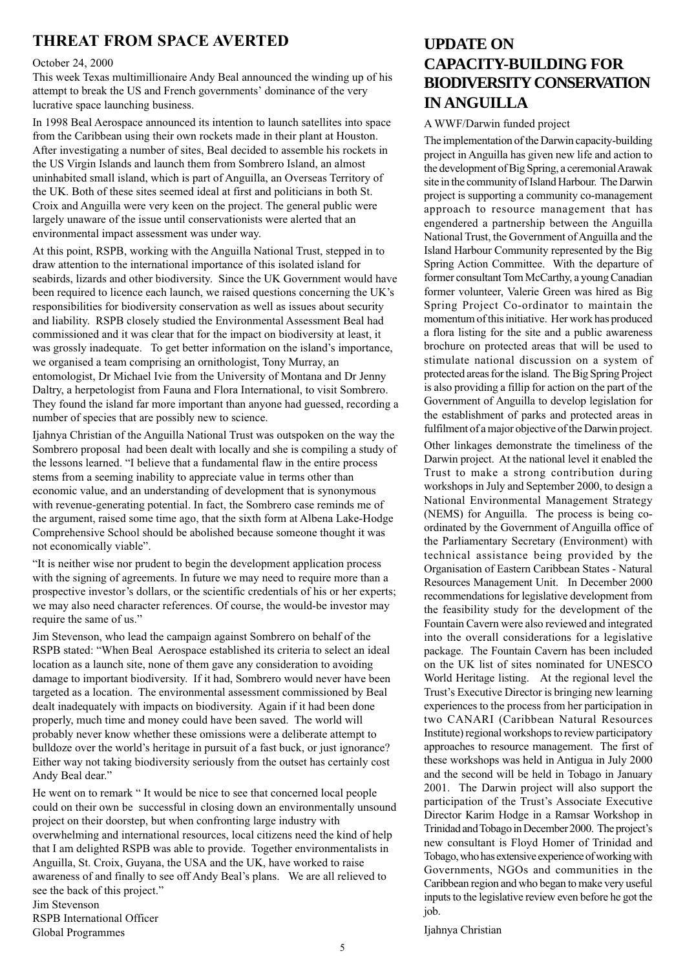## **THREAT FROM SPACE AVERTED**

#### October 24, 2000

This week Texas multimillionaire Andy Beal announced the winding up of his attempt to break the US and French governments' dominance of the very lucrative space launching business.

In 1998 Beal Aerospace announced its intention to launch satellites into space from the Caribbean using their own rockets made in their plant at Houston. After investigating a number of sites, Beal decided to assemble his rockets in the US Virgin Islands and launch them from Sombrero Island, an almost uninhabited small island, which is part of Anguilla, an Overseas Territory of the UK. Both of these sites seemed ideal at first and politicians in both St. Croix and Anguilla were very keen on the project. The general public were largely unaware of the issue until conservationists were alerted that an environmental impact assessment was under way.

At this point, RSPB, working with the Anguilla National Trust, stepped in to draw attention to the international importance of this isolated island for seabirds, lizards and other biodiversity. Since the UK Government would have been required to licence each launch, we raised questions concerning the UK's responsibilities for biodiversity conservation as well as issues about security and liability. RSPB closely studied the Environmental Assessment Beal had commissioned and it was clear that for the impact on biodiversity at least, it was grossly inadequate. To get better information on the island's importance, we organised a team comprising an ornithologist, Tony Murray, an entomologist, Dr Michael Ivie from the University of Montana and Dr Jenny Daltry, a herpetologist from Fauna and Flora International, to visit Sombrero. They found the island far more important than anyone had guessed, recording a number of species that are possibly new to science.

Ijahnya Christian of the Anguilla National Trust was outspoken on the way the Sombrero proposal had been dealt with locally and she is compiling a study of the lessons learned. "I believe that a fundamental flaw in the entire process stems from a seeming inability to appreciate value in terms other than economic value, and an understanding of development that is synonymous with revenue-generating potential. In fact, the Sombrero case reminds me of the argument, raised some time ago, that the sixth form at Albena Lake-Hodge Comprehensive School should be abolished because someone thought it was not economically viable".

"It is neither wise nor prudent to begin the development application process with the signing of agreements. In future we may need to require more than a prospective investor's dollars, or the scientific credentials of his or her experts; we may also need character references. Of course, the would-be investor may require the same of us."

Jim Stevenson, who lead the campaign against Sombrero on behalf of the RSPB stated: "When Beal Aerospace established its criteria to select an ideal location as a launch site, none of them gave any consideration to avoiding damage to important biodiversity. If it had, Sombrero would never have been targeted as a location. The environmental assessment commissioned by Beal dealt inadequately with impacts on biodiversity. Again if it had been done properly, much time and money could have been saved. The world will probably never know whether these omissions were a deliberate attempt to bulldoze over the world's heritage in pursuit of a fast buck, or just ignorance? Either way not taking biodiversity seriously from the outset has certainly cost Andy Beal dear."

He went on to remark " It would be nice to see that concerned local people could on their own be successful in closing down an environmentally unsound project on their doorstep, but when confronting large industry with overwhelming and international resources, local citizens need the kind of help that I am delighted RSPB was able to provide. Together environmentalists in Anguilla, St. Croix, Guyana, the USA and the UK, have worked to raise awareness of and finally to see off Andy Beal's plans. We are all relieved to see the back of this project."

Jim Stevenson RSPB International Officer Global Programmes

## **UPDATE ON CAPACITY-BUILDING FOR BIODIVERSITY CONSERVATION IN ANGUILLA**

#### A WWF/Darwin funded project

The implementation of the Darwin capacity-building project in Anguilla has given new life and action to the development of Big Spring, a ceremonial Arawak site in the community of Island Harbour. The Darwin project is supporting a community co-management approach to resource management that has engendered a partnership between the Anguilla National Trust, the Government of Anguilla and the Island Harbour Community represented by the Big Spring Action Committee. With the departure of former consultant Tom McCarthy, a young Canadian former volunteer, Valerie Green was hired as Big Spring Project Co-ordinator to maintain the momentum of this initiative. Her work has produced a flora listing for the site and a public awareness brochure on protected areas that will be used to stimulate national discussion on a system of protected areas for the island. The Big Spring Project is also providing a fillip for action on the part of the Government of Anguilla to develop legislation for the establishment of parks and protected areas in fulfilment of a major objective of the Darwin project.

Other linkages demonstrate the timeliness of the Darwin project. At the national level it enabled the Trust to make a strong contribution during workshops in July and September 2000, to design a National Environmental Management Strategy (NEMS) for Anguilla. The process is being coordinated by the Government of Anguilla office of the Parliamentary Secretary (Environment) with technical assistance being provided by the Organisation of Eastern Caribbean States - Natural Resources Management Unit. In December 2000 recommendations for legislative development from the feasibility study for the development of the Fountain Cavern were also reviewed and integrated into the overall considerations for a legislative package. The Fountain Cavern has been included on the UK list of sites nominated for UNESCO World Heritage listing. At the regional level the Trust's Executive Director is bringing new learning experiences to the process from her participation in two CANARI (Caribbean Natural Resources Institute) regional workshops to review participatory approaches to resource management. The first of these workshops was held in Antigua in July 2000 and the second will be held in Tobago in January 2001. The Darwin project will also support the participation of the Trust's Associate Executive Director Karim Hodge in a Ramsar Workshop in Trinidad and Tobago in December 2000. The project's new consultant is Floyd Homer of Trinidad and Tobago, who has extensive experience of working with Governments, NGOs and communities in the Caribbean region and who began to make very useful inputs to the legislative review even before he got the job.

Ijahnya Christian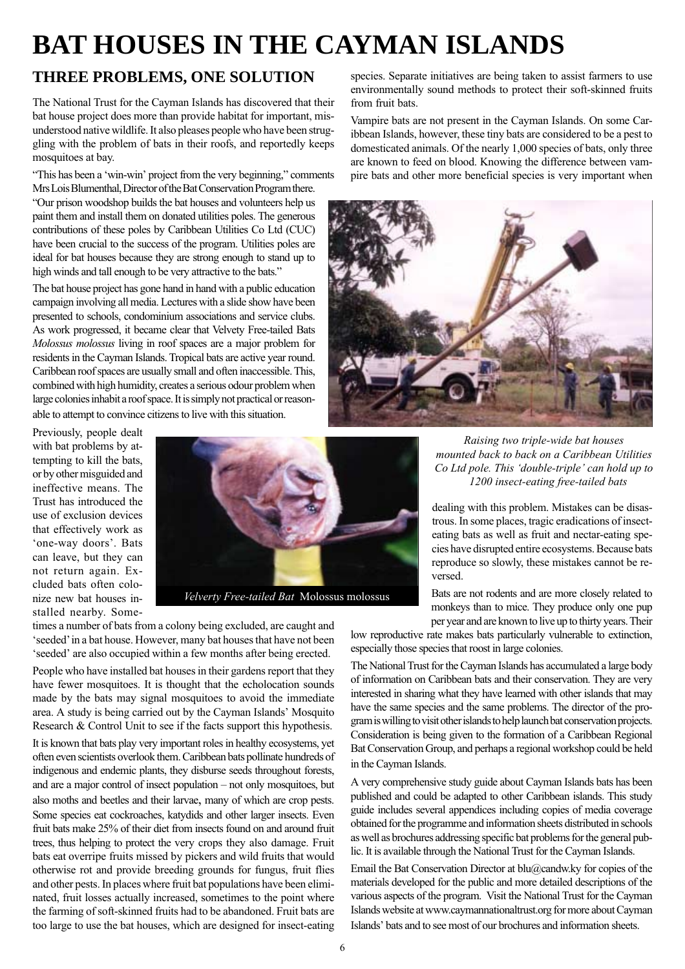# **BAT HOUSES IN THE CAYMAN ISLANDS**

## **THREE PROBLEMS, ONE SOLUTION**

The National Trust for the Cayman Islands has discovered that their bat house project does more than provide habitat for important, misunderstood native wildlife. It also pleases people who have been struggling with the problem of bats in their roofs, and reportedly keeps mosquitoes at bay.

"This has been a 'win-win' project from the very beginning," comments Mrs Lois Blumenthal, Director of the Bat Conservation Program there.

"Our prison woodshop builds the bat houses and volunteers help us paint them and install them on donated utilities poles. The generous contributions of these poles by Caribbean Utilities Co Ltd (CUC) have been crucial to the success of the program. Utilities poles are ideal for bat houses because they are strong enough to stand up to high winds and tall enough to be very attractive to the bats."

The bat house project has gone hand in hand with a public education campaign involving all media. Lectures with a slide show have been presented to schools, condominium associations and service clubs. As work progressed, it became clear that Velvety Free-tailed Bats *Molossus molossus* living in roof spaces are a major problem for residents in the Cayman Islands. Tropical bats are active year round. Caribbean roof spaces are usually small and often inaccessible. This, combined with high humidity, creates a serious odour problem when large colonies inhabit a roof space. It is simply not practical or reasonable to attempt to convince citizens to live with this situation.

Previously, people dealt with bat problems by attempting to kill the bats, or by other misguided and ineffective means. The Trust has introduced the use of exclusion devices that effectively work as 'one-way doors'. Bats can leave, but they can not return again. Excluded bats often colonize new bat houses installed nearby. Some-



times a number of bats from a colony being excluded, are caught and 'seeded' in a bat house. However, many bat houses that have not been 'seeded' are also occupied within a few months after being erected.

People who have installed bat houses in their gardens report that they have fewer mosquitoes. It is thought that the echolocation sounds made by the bats may signal mosquitoes to avoid the immediate area. A study is being carried out by the Cayman Islands' Mosquito Research & Control Unit to see if the facts support this hypothesis.

It is known that bats play very important roles in healthy ecosystems, yet often even scientists overlook them. Caribbean bats pollinate hundreds of indigenous and endemic plants, they disburse seeds throughout forests, and are a major control of insect population – not only mosquitoes, but also moths and beetles and their larvae, many of which are crop pests. Some species eat cockroaches, katydids and other larger insects. Even fruit bats make 25% of their diet from insects found on and around fruit trees, thus helping to protect the very crops they also damage. Fruit bats eat overripe fruits missed by pickers and wild fruits that would otherwise rot and provide breeding grounds for fungus, fruit flies and other pests. In places where fruit bat populations have been eliminated, fruit losses actually increased, sometimes to the point where the farming of soft-skinned fruits had to be abandoned. Fruit bats are too large to use the bat houses, which are designed for insect-eating species. Separate initiatives are being taken to assist farmers to use environmentally sound methods to protect their soft-skinned fruits from fruit bats.

Vampire bats are not present in the Cayman Islands. On some Caribbean Islands, however, these tiny bats are considered to be a pest to domesticated animals. Of the nearly 1,000 species of bats, only three are known to feed on blood. Knowing the difference between vampire bats and other more beneficial species is very important when



*Raising two triple-wide bat houses mounted back to back on a Caribbean Utilities Co Ltd pole. This 'double-triple' can hold up to 1200 insect-eating free-tailed bats*

dealing with this problem. Mistakes can be disastrous. In some places, tragic eradications of insecteating bats as well as fruit and nectar-eating species have disrupted entire ecosystems. Because bats reproduce so slowly, these mistakes cannot be reversed.

Bats are not rodents and are more closely related to monkeys than to mice. They produce only one pup per year and are known to live up to thirty years. Their

low reproductive rate makes bats particularly vulnerable to extinction, especially those species that roost in large colonies.

The National Trust for the Cayman Islands has accumulated a large body of information on Caribbean bats and their conservation. They are very interested in sharing what they have learned with other islands that may have the same species and the same problems. The director of the program is willing to visit other islands to help launch bat conservation projects. Consideration is being given to the formation of a Caribbean Regional Bat Conservation Group, and perhaps a regional workshop could be held in the Cayman Islands.

A very comprehensive study guide about Cayman Islands bats has been published and could be adapted to other Caribbean islands. This study guide includes several appendices including copies of media coverage obtained for the programme and information sheets distributed in schools as well as brochures addressing specific bat problems for the general public. It is available through the National Trust for the Cayman Islands.

Email the Bat Conservation Director at blu@candw.ky for copies of the materials developed for the public and more detailed descriptions of the various aspects of the program. Visit the National Trust for the Cayman Islands website at www.caymannationaltrust.org for more about Cayman Islands' bats and to see most of our brochures and information sheets.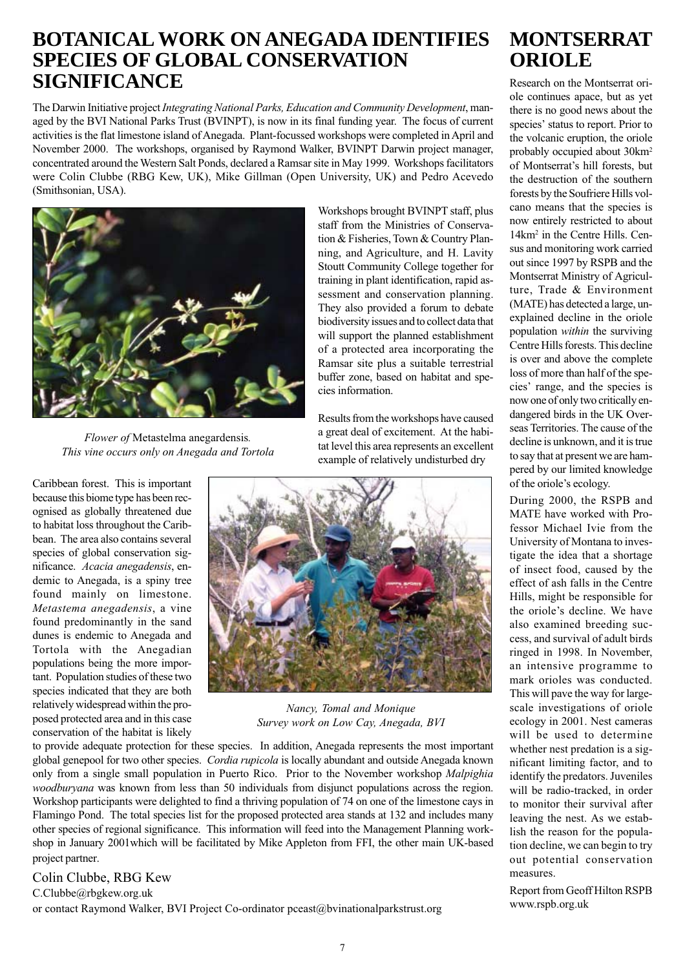## **BOTANICAL WORK ON ANEGADA IDENTIFIES SPECIES OF GLOBAL CONSERVATION SIGNIFICANCE**

The Darwin Initiative project *Integrating National Parks, Education and Community Development*, managed by the BVI National Parks Trust (BVINPT), is now in its final funding year. The focus of current activities is the flat limestone island of Anegada. Plant-focussed workshops were completed in April and November 2000. The workshops, organised by Raymond Walker, BVINPT Darwin project manager, concentrated around the Western Salt Ponds, declared a Ramsar site in May 1999. Workshops facilitators were Colin Clubbe (RBG Kew, UK), Mike Gillman (Open University, UK) and Pedro Acevedo (Smithsonian, USA).



*Flower of* Metastelma anegardensis*. This vine occurs only on Anegada and Tortola*

Caribbean forest. This is important because this biome type has been recognised as globally threatened due to habitat loss throughout the Caribbean. The area also contains several species of global conservation significance. *Acacia anegadensis*, endemic to Anegada, is a spiny tree found mainly on limestone. *Metastema anegadensis*, a vine found predominantly in the sand dunes is endemic to Anegada and Tortola with the Anegadian populations being the more important. Population studies of these two species indicated that they are both relatively widespread within the proposed protected area and in this case conservation of the habitat is likely Workshops brought BVINPT staff, plus staff from the Ministries of Conservation & Fisheries, Town & Country Planning, and Agriculture, and H. Lavity Stoutt Community College together for training in plant identification, rapid assessment and conservation planning. They also provided a forum to debate biodiversity issues and to collect data that will support the planned establishment of a protected area incorporating the Ramsar site plus a suitable terrestrial buffer zone, based on habitat and species information.

Results from the workshops have caused a great deal of excitement. At the habitat level this area represents an excellent example of relatively undisturbed dry



*Nancy, Tomal and Monique Survey work on Low Cay, Anegada, BVI*

to provide adequate protection for these species. In addition, Anegada represents the most important global genepool for two other species. *Cordia rupicola* is locally abundant and outside Anegada known only from a single small population in Puerto Rico. Prior to the November workshop *Malpighia woodburyana* was known from less than 50 individuals from disjunct populations across the region. Workshop participants were delighted to find a thriving population of 74 on one of the limestone cays in Flamingo Pond. The total species list for the proposed protected area stands at 132 and includes many other species of regional significance. This information will feed into the Management Planning workshop in January 2001which will be facilitated by Mike Appleton from FFI, the other main UK-based project partner.

#### Colin Clubbe, RBG Kew

C.Clubbe@rbgkew.org.uk or contact Raymond Walker, BVI Project Co-ordinator pceast@bvinationalparkstrust.org

# **MONTSERRAT ORIOLE**

Research on the Montserrat oriole continues apace, but as yet there is no good news about the species' status to report. Prior to the volcanic eruption, the oriole probably occupied about 30km2 of Montserrat's hill forests, but the destruction of the southern forests by the Soufriere Hills volcano means that the species is now entirely restricted to about 14km2 in the Centre Hills. Census and monitoring work carried out since 1997 by RSPB and the Montserrat Ministry of Agriculture, Trade & Environment (MATE) has detected a large, unexplained decline in the oriole population *within* the surviving Centre Hills forests. This decline is over and above the complete loss of more than half of the species' range, and the species is now one of only two critically endangered birds in the UK Overseas Territories. The cause of the decline is unknown, and it is true to say that at present we are hampered by our limited knowledge of the oriole's ecology.

During 2000, the RSPB and MATE have worked with Professor Michael Ivie from the University of Montana to investigate the idea that a shortage of insect food, caused by the effect of ash falls in the Centre Hills, might be responsible for the oriole's decline. We have also examined breeding success, and survival of adult birds ringed in 1998. In November, an intensive programme to mark orioles was conducted. This will pave the way for largescale investigations of oriole ecology in 2001. Nest cameras will be used to determine whether nest predation is a significant limiting factor, and to identify the predators. Juveniles will be radio-tracked, in order to monitor their survival after leaving the nest. As we establish the reason for the population decline, we can begin to try out potential conservation measures.

Report from Geoff Hilton RSPB www.rspb.org.uk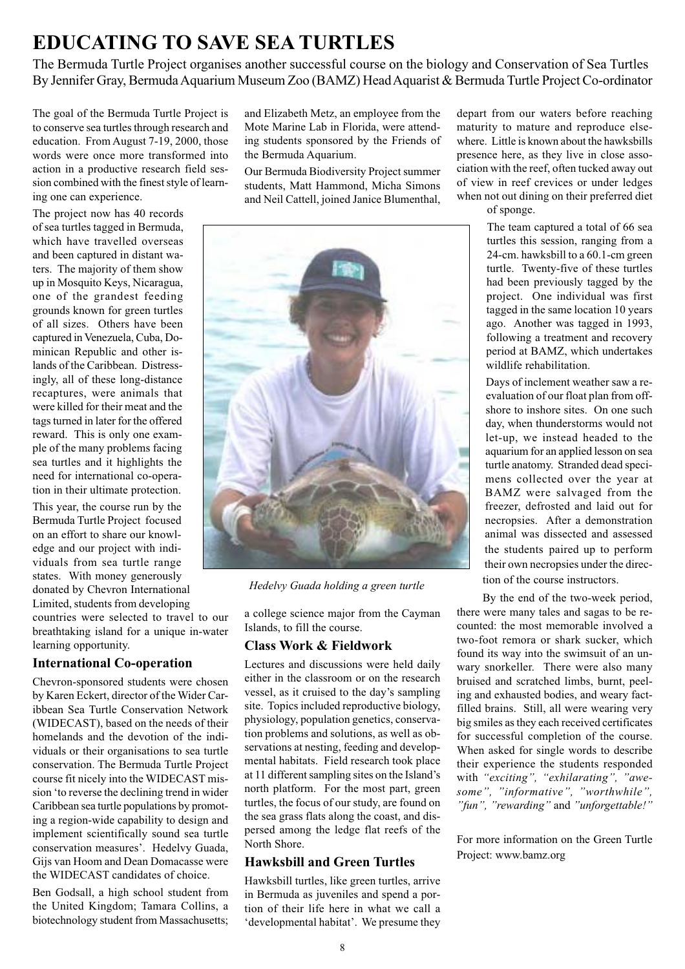# **EDUCATING TO SAVE SEA TURTLES**

The Bermuda Turtle Project organises another successful course on the biology and Conservation of Sea Turtles By Jennifer Gray, Bermuda Aquarium Museum Zoo (BAMZ) Head Aquarist & Bermuda Turtle Project Co-ordinator

The goal of the Bermuda Turtle Project is to conserve sea turtles through research and education. From August 7-19, 2000, those words were once more transformed into action in a productive research field session combined with the finest style of learning one can experience.

The project now has 40 records of sea turtles tagged in Bermuda, which have travelled overseas and been captured in distant waters. The majority of them show up in Mosquito Keys, Nicaragua, one of the grandest feeding grounds known for green turtles of all sizes. Others have been captured in Venezuela, Cuba, Dominican Republic and other islands of the Caribbean. Distressingly, all of these long-distance recaptures, were animals that were killed for their meat and the tags turned in later for the offered reward. This is only one example of the many problems facing sea turtles and it highlights the need for international co-operation in their ultimate protection.

This year, the course run by the Bermuda Turtle Project focused on an effort to share our knowledge and our project with individuals from sea turtle range states. With money generously donated by Chevron International Limited, students from developing

countries were selected to travel to our breathtaking island for a unique in-water learning opportunity.

#### **International Co-operation**

Chevron-sponsored students were chosen by Karen Eckert, director of the Wider Caribbean Sea Turtle Conservation Network (WIDECAST), based on the needs of their homelands and the devotion of the individuals or their organisations to sea turtle conservation. The Bermuda Turtle Project course fit nicely into the WIDECAST mission 'to reverse the declining trend in wider Caribbean sea turtle populations by promoting a region-wide capability to design and implement scientifically sound sea turtle conservation measures'. Hedelvy Guada, Gijs van Hoom and Dean Domacasse were the WIDECAST candidates of choice.

Ben Godsall, a high school student from the United Kingdom; Tamara Collins, a biotechnology student from Massachusetts; and Elizabeth Metz, an employee from the Mote Marine Lab in Florida, were attending students sponsored by the Friends of the Bermuda Aquarium.

Our Bermuda Biodiversity Project summer students, Matt Hammond, Micha Simons and Neil Cattell, joined Janice Blumenthal,



*Hedelvy Guada holding a green turtle*

a college science major from the Cayman Islands, to fill the course.

### **Class Work & Fieldwork**

Lectures and discussions were held daily either in the classroom or on the research vessel, as it cruised to the day's sampling site. Topics included reproductive biology, physiology, population genetics, conservation problems and solutions, as well as observations at nesting, feeding and developmental habitats. Field research took place at 11 different sampling sites on the Island's north platform. For the most part, green turtles, the focus of our study, are found on the sea grass flats along the coast, and dispersed among the ledge flat reefs of the North Shore.

### **Hawksbill and Green Turtles**

Hawksbill turtles, like green turtles, arrive in Bermuda as juveniles and spend a portion of their life here in what we call a 'developmental habitat'. We presume they

depart from our waters before reaching maturity to mature and reproduce elsewhere. Little is known about the hawksbills presence here, as they live in close association with the reef, often tucked away out of view in reef crevices or under ledges when not out dining on their preferred diet of sponge.

> The team captured a total of 66 sea turtles this session, ranging from a 24-cm. hawksbill to a 60.1-cm green turtle. Twenty-five of these turtles had been previously tagged by the project. One individual was first tagged in the same location 10 years ago. Another was tagged in 1993, following a treatment and recovery period at BAMZ, which undertakes wildlife rehabilitation.

Days of inclement weather saw a reevaluation of our float plan from offshore to inshore sites. On one such day, when thunderstorms would not let-up, we instead headed to the aquarium for an applied lesson on sea turtle anatomy. Stranded dead specimens collected over the year at BAMZ were salvaged from the freezer, defrosted and laid out for necropsies. After a demonstration animal was dissected and assessed the students paired up to perform their own necropsies under the direction of the course instructors.

By the end of the two-week period, there were many tales and sagas to be recounted: the most memorable involved a two-foot remora or shark sucker, which found its way into the swimsuit of an unwary snorkeller. There were also many bruised and scratched limbs, burnt, peeling and exhausted bodies, and weary factfilled brains. Still, all were wearing very big smiles as they each received certificates for successful completion of the course. When asked for single words to describe their experience the students responded with *"exciting", "exhilarating", "awesome", "informative", "worthwhile", "fun", "rewarding"* and *"unforgettable!"*

For more information on the Green Turtle Project: www.bamz.org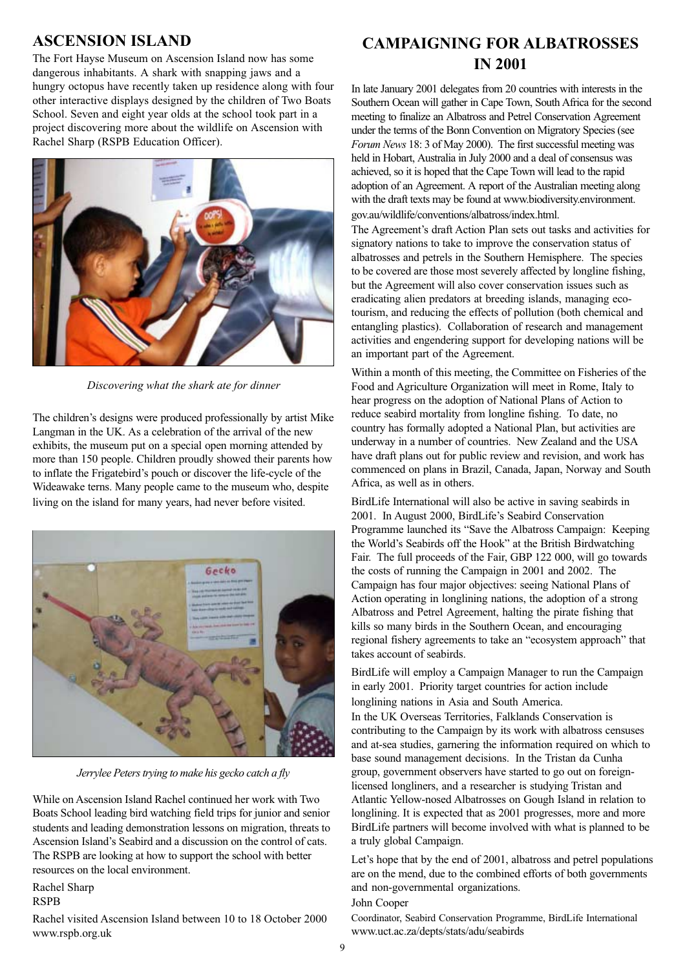## **ASCENSION ISLAND**

The Fort Hayse Museum on Ascension Island now has some dangerous inhabitants. A shark with snapping jaws and a hungry octopus have recently taken up residence along with four other interactive displays designed by the children of Two Boats School. Seven and eight year olds at the school took part in a project discovering more about the wildlife on Ascension with Rachel Sharp (RSPB Education Officer).



*Discovering what the shark ate for dinner*

The children's designs were produced professionally by artist Mike Langman in the UK. As a celebration of the arrival of the new exhibits, the museum put on a special open morning attended by more than 150 people. Children proudly showed their parents how to inflate the Frigatebird's pouch or discover the life-cycle of the Wideawake terns. Many people came to the museum who, despite living on the island for many years, had never before visited.



*Jerrylee Peters trying to make his gecko catch a fly*

While on Ascension Island Rachel continued her work with Two Boats School leading bird watching field trips for junior and senior students and leading demonstration lessons on migration, threats to Ascension Island's Seabird and a discussion on the control of cats. The RSPB are looking at how to support the school with better resources on the local environment.

Rachel Sharp

#### RSPB

Rachel visited Ascension Island between 10 to 18 October 2000 www.rspb.org.uk

## **CAMPAIGNING FOR ALBATROSSES IN 2001**

In late January 2001 delegates from 20 countries with interests in the Southern Ocean will gather in Cape Town, South Africa for the second meeting to finalize an Albatross and Petrel Conservation Agreement under the terms of the Bonn Convention on Migratory Species (see *Forum News* 18: 3 of May 2000). The first successful meeting was held in Hobart, Australia in July 2000 and a deal of consensus was achieved, so it is hoped that the Cape Town will lead to the rapid adoption of an Agreement. A report of the Australian meeting along with the draft texts may be found at www.biodiversity.environment. gov.au/wildlife/conventions/albatross/index.html.

The Agreement's draft Action Plan sets out tasks and activities for signatory nations to take to improve the conservation status of albatrosses and petrels in the Southern Hemisphere. The species to be covered are those most severely affected by longline fishing, but the Agreement will also cover conservation issues such as eradicating alien predators at breeding islands, managing ecotourism, and reducing the effects of pollution (both chemical and entangling plastics). Collaboration of research and management activities and engendering support for developing nations will be an important part of the Agreement.

Within a month of this meeting, the Committee on Fisheries of the Food and Agriculture Organization will meet in Rome, Italy to hear progress on the adoption of National Plans of Action to reduce seabird mortality from longline fishing. To date, no country has formally adopted a National Plan, but activities are underway in a number of countries. New Zealand and the USA have draft plans out for public review and revision, and work has commenced on plans in Brazil, Canada, Japan, Norway and South Africa, as well as in others.

BirdLife International will also be active in saving seabirds in 2001. In August 2000, BirdLife's Seabird Conservation Programme launched its "Save the Albatross Campaign: Keeping the World's Seabirds off the Hook" at the British Birdwatching Fair. The full proceeds of the Fair, GBP 122 000, will go towards the costs of running the Campaign in 2001 and 2002. The Campaign has four major objectives: seeing National Plans of Action operating in longlining nations, the adoption of a strong Albatross and Petrel Agreement, halting the pirate fishing that kills so many birds in the Southern Ocean, and encouraging regional fishery agreements to take an "ecosystem approach" that takes account of seabirds.

BirdLife will employ a Campaign Manager to run the Campaign in early 2001. Priority target countries for action include longlining nations in Asia and South America. In the UK Overseas Territories, Falklands Conservation is contributing to the Campaign by its work with albatross censuses and at-sea studies, garnering the information required on which to base sound management decisions. In the Tristan da Cunha group, government observers have started to go out on foreignlicensed longliners, and a researcher is studying Tristan and Atlantic Yellow-nosed Albatrosses on Gough Island in relation to longlining. It is expected that as 2001 progresses, more and more BirdLife partners will become involved with what is planned to be a truly global Campaign.

Let's hope that by the end of 2001, albatross and petrel populations are on the mend, due to the combined efforts of both governments and non-governmental organizations.

#### John Cooper

Coordinator, Seabird Conservation Programme, BirdLife International www.uct.ac.za/depts/stats/adu/seabirds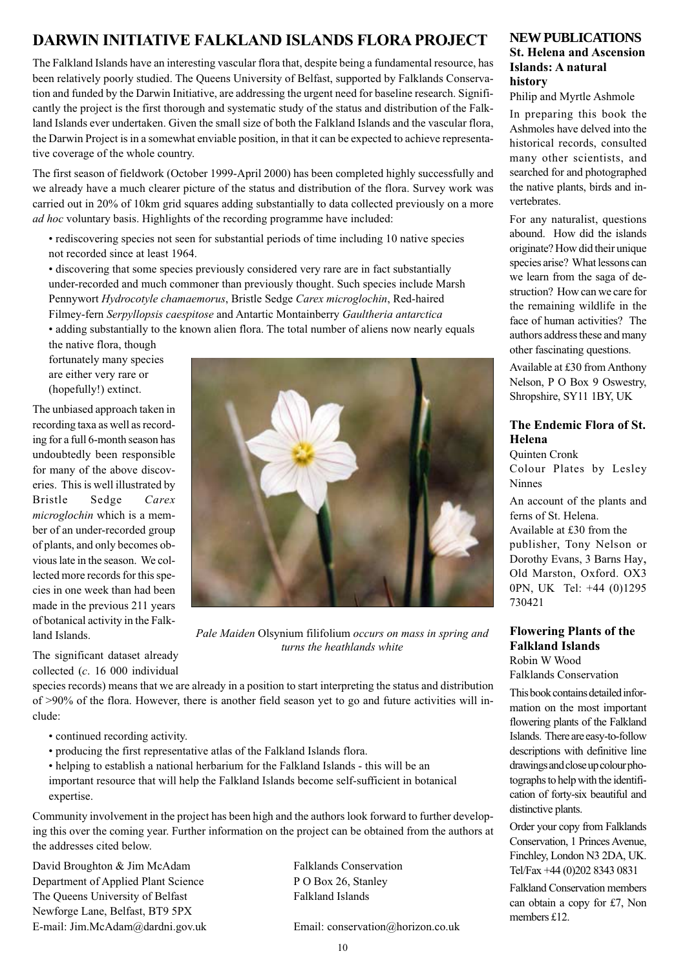## **DARWIN INITIATIVE FALKLAND ISLANDS FLORA PROJECT**

The Falkland Islands have an interesting vascular flora that, despite being a fundamental resource, has been relatively poorly studied. The Queens University of Belfast, supported by Falklands Conservation and funded by the Darwin Initiative, are addressing the urgent need for baseline research. Significantly the project is the first thorough and systematic study of the status and distribution of the Falkland Islands ever undertaken. Given the small size of both the Falkland Islands and the vascular flora, the Darwin Project is in a somewhat enviable position, in that it can be expected to achieve representative coverage of the whole country.

The first season of fieldwork (October 1999-April 2000) has been completed highly successfully and we already have a much clearer picture of the status and distribution of the flora. Survey work was carried out in 20% of 10km grid squares adding substantially to data collected previously on a more *ad hoc* voluntary basis. Highlights of the recording programme have included:

• rediscovering species not seen for substantial periods of time including 10 native species not recorded since at least 1964.

• discovering that some species previously considered very rare are in fact substantially under-recorded and much commoner than previously thought. Such species include Marsh Pennywort *Hydrocotyle chamaemorus*, Bristle Sedge *Carex microglochin*, Red-haired Filmey-fern *Serpyllopsis caespitose* and Antartic Montainberry *Gaultheria antarctica* • adding substantially to the known alien flora. The total number of aliens now nearly equals

the native flora, though fortunately many species are either very rare or (hopefully!) extinct.

The unbiased approach taken in recording taxa as well as recording for a full 6-month season has undoubtedly been responsible for many of the above discoveries. This is well illustrated by Bristle Sedge *Carex microglochin* which is a member of an under-recorded group of plants, and only becomes obvious late in the season. We collected more records for this species in one week than had been made in the previous 211 years of botanical activity in the Falkland Islands.

The significant dataset already collected (*c*. 16 000 individual



*Pale Maiden* Olsynium filifolium *occurs on mass in spring and turns the heathlands white*

species records) means that we are already in a position to start interpreting the status and distribution of >90% of the flora. However, there is another field season yet to go and future activities will include:

- continued recording activity.
- producing the first representative atlas of the Falkland Islands flora.

• helping to establish a national herbarium for the Falkland Islands - this will be an important resource that will help the Falkland Islands become self-sufficient in botanical expertise.

Community involvement in the project has been high and the authors look forward to further developing this over the coming year. Further information on the project can be obtained from the authors at the addresses cited below.

David Broughton & Jim McAdam Falklands Conservation Department of Applied Plant Science P O Box 26, Stanley The Queens University of Belfast Falkland Islands Newforge Lane, Belfast, BT9 5PX E-mail: Jim.McAdam@dardni.gov.uk Email: conservation@horizon.co.uk

#### **NEW PUBLICATIONS St. Helena and Ascension Islands: A natural history**

Philip and Myrtle Ashmole

In preparing this book the Ashmoles have delved into the historical records, consulted many other scientists, and searched for and photographed the native plants, birds and invertebrates.

For any naturalist, questions abound. How did the islands originate? How did their unique species arise? What lessons can we learn from the saga of destruction? How can we care for the remaining wildlife in the face of human activities? The authors address these and many other fascinating questions.

Available at £30 from Anthony Nelson, P O Box 9 Oswestry, Shropshire, SY11 1BY, UK

#### **The Endemic Flora of St. Helena**

Quinten Cronk Colour Plates by Lesley Ninnes

An account of the plants and ferns of St. Helena. Available at £30 from the publisher, Tony Nelson or Dorothy Evans, 3 Barns Hay, Old Marston, Oxford. OX3 0PN, UK Tel: +44 (0)1295 730421

#### **Flowering Plants of the Falkland Islands** Robin W Wood

Falklands Conservation

This book contains detailed information on the most important flowering plants of the Falkland Islands. There are easy-to-follow descriptions with definitive line drawings and close up colour photographs to help with the identification of forty-six beautiful and distinctive plants.

Order your copy from Falklands Conservation, 1 Princes Avenue, Finchley, London N3 2DA, UK. Tel/Fax +44 (0)202 8343 0831

Falkland Conservation members can obtain a copy for £7, Non members £12.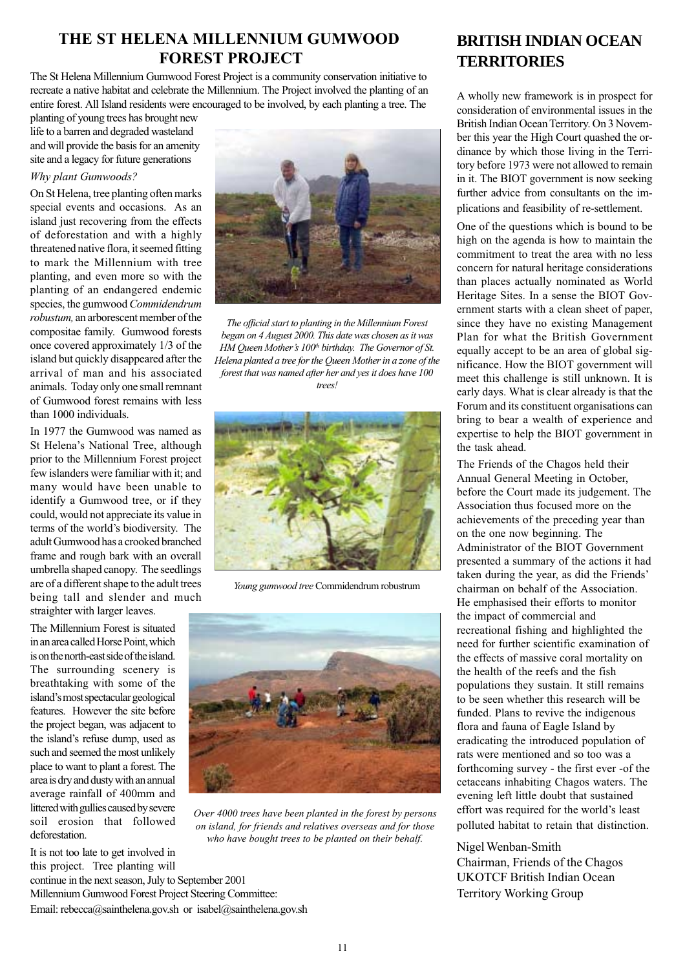## **THE ST HELENA MILLENNIUM GUMWOOD FOREST PROJECT**

The St Helena Millennium Gumwood Forest Project is a community conservation initiative to recreate a native habitat and celebrate the Millennium. The Project involved the planting of an entire forest. All Island residents were encouraged to be involved, by each planting a tree. The

planting of young trees has brought new life to a barren and degraded wasteland and will provide the basis for an amenity site and a legacy for future generations

#### *Why plant Gumwoods?*

On St Helena, tree planting often marks special events and occasions. As an island just recovering from the effects of deforestation and with a highly threatened native flora, it seemed fitting to mark the Millennium with tree planting, and even more so with the planting of an endangered endemic species, the gumwood *Commidendrum robustum,* an arborescent member of the compositae family. Gumwood forests once covered approximately 1/3 of the island but quickly disappeared after the arrival of man and his associated animals. Today only one small remnant of Gumwood forest remains with less than 1000 individuals.

In 1977 the Gumwood was named as St Helena's National Tree, although prior to the Millennium Forest project few islanders were familiar with it; and many would have been unable to identify a Gumwood tree, or if they could, would not appreciate its value in terms of the world's biodiversity. The adult Gumwood has a crooked branched frame and rough bark with an overall umbrella shaped canopy. The seedlings are of a different shape to the adult trees being tall and slender and much straighter with larger leaves.

The Millennium Forest is situated in an area called Horse Point, which is on the north-east side of the island. The surrounding scenery is breathtaking with some of the island's most spectacular geological features. However the site before the project began, was adjacent to the island's refuse dump, used as such and seemed the most unlikely place to want to plant a forest. The area is dry and dusty with an annual average rainfall of 400mm and littered with gullies caused by severe soil erosion that followed deforestation.

It is not too late to get involved in

this project. Tree planting will continue in the next season, July to September 2001 Millennium Gumwood Forest Project Steering Committee: Email: rebecca@sainthelena.gov.sh or isabel@sainthelena.gov.sh



*The official start to planting in the Millennium Forest began on 4 August 2000. This date was chosen as it was HM Queen Mother's 100<sup>th</sup> birthday. The Governor of St. Helena planted a tree for the Queen Mother in a zone of the forest that was named after her and yes it does have 100 trees!*



*Young gumwood tree* Commidendrum robustrum



*Over 4000 trees have been planted in the forest by persons on island, for friends and relatives overseas and for those who have bought trees to be planted on their behalf.*

## **BRITISH INDIAN OCEAN TERRITORIES**

A wholly new framework is in prospect for consideration of environmental issues in the British Indian Ocean Territory. On 3 November this year the High Court quashed the ordinance by which those living in the Territory before 1973 were not allowed to remain in it. The BIOT government is now seeking further advice from consultants on the implications and feasibility of re-settlement.

One of the questions which is bound to be high on the agenda is how to maintain the commitment to treat the area with no less concern for natural heritage considerations than places actually nominated as World Heritage Sites. In a sense the BIOT Government starts with a clean sheet of paper, since they have no existing Management Plan for what the British Government equally accept to be an area of global significance. How the BIOT government will meet this challenge is still unknown. It is early days. What is clear already is that the Forum and its constituent organisations can bring to bear a wealth of experience and expertise to help the BIOT government in the task ahead.

The Friends of the Chagos held their Annual General Meeting in October, before the Court made its judgement. The Association thus focused more on the achievements of the preceding year than on the one now beginning. The Administrator of the BIOT Government presented a summary of the actions it had taken during the year, as did the Friends' chairman on behalf of the Association. He emphasised their efforts to monitor the impact of commercial and recreational fishing and highlighted the need for further scientific examination of the effects of massive coral mortality on the health of the reefs and the fish populations they sustain. It still remains to be seen whether this research will be funded. Plans to revive the indigenous flora and fauna of Eagle Island by eradicating the introduced population of rats were mentioned and so too was a forthcoming survey - the first ever -of the cetaceans inhabiting Chagos waters. The evening left little doubt that sustained effort was required for the world's least polluted habitat to retain that distinction.

Nigel Wenban-Smith Chairman, Friends of the Chagos UKOTCF British Indian Ocean Territory Working Group